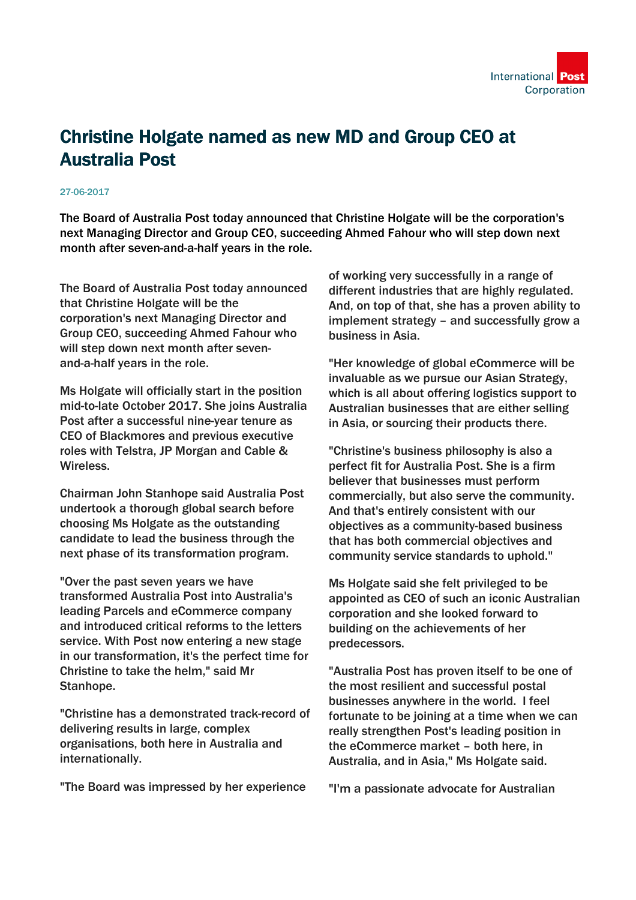

## Christine Holgate named as new MD and Group CEO at Australia Post

## 27-06-2017

The Board of Australia Post today announced that Christine Holgate will be the corporation's next Managing Director and Group CEO, succeeding Ahmed Fahour who will step down next month after seven-and-a-half years in the role.

The Board of Australia Post today announced that Christine Holgate will be the corporation's next Managing Director and Group CEO, succeeding Ahmed Fahour who will step down next month after sevenand-a-half years in the role.

Ms Holgate will officially start in the position mid-to-late October 2017. She joins Australia Post after a successful nine-year tenure as CEO of Blackmores and previous executive roles with Telstra, JP Morgan and Cable & Wireless.

Chairman John Stanhope said Australia Post undertook a thorough global search before choosing Ms Holgate as the outstanding candidate to lead the business through the next phase of its transformation program.

"Over the past seven years we have transformed Australia Post into Australia's leading Parcels and eCommerce company and introduced critical reforms to the letters service. With Post now entering a new stage in our transformation, it's the perfect time for Christine to take the helm," said Mr Stanhope.

"Christine has a demonstrated track-record of delivering results in large, complex organisations, both here in Australia and internationally.

"The Board was impressed by her experience

of working very successfully in a range of different industries that are highly regulated. And, on top of that, she has a proven ability to implement strategy – and successfully grow a business in Asia.

"Her knowledge of global eCommerce will be invaluable as we pursue our Asian Strategy, which is all about offering logistics support to Australian businesses that are either selling in Asia, or sourcing their products there.

"Christine's business philosophy is also a perfect fit for Australia Post. She is a firm believer that businesses must perform commercially, but also serve the community. And that's entirely consistent with our objectives as a community-based business that has both commercial objectives and community service standards to uphold."

Ms Holgate said she felt privileged to be appointed as CEO of such an iconic Australian corporation and she looked forward to building on the achievements of her predecessors.

"Australia Post has proven itself to be one of the most resilient and successful postal businesses anywhere in the world. I feel fortunate to be joining at a time when we can really strengthen Post's leading position in the eCommerce market – both here, in Australia, and in Asia," Ms Holgate said.

"I'm a passionate advocate for Australian